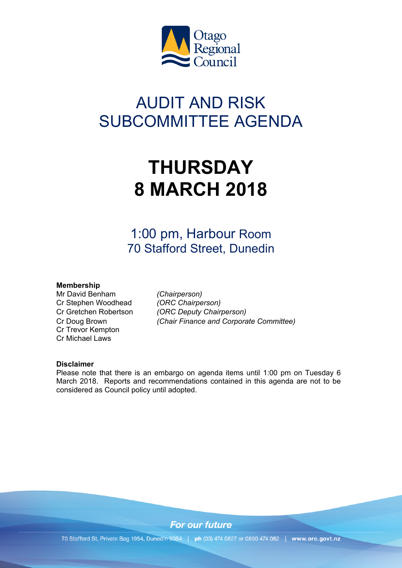

# AUDIT AND RISK SUBCOMMITTEE AGENDA

# **THURSDAY 8 MARCH 2018**

1:00 pm, Harbour Room 70 Stafford Street, Dunedin

## **Membership**

Mr David Benham *(Chairperson)* Cr Stephen Woodhead *(ORC Chairperson)* Cr Trevor Kempton Cr Michael Laws

Cr Gretchen Robertson *(ORC Deputy Chairperson)* Cr Doug Brown *(Chair Finance and Corporate Committee)*

## **Disclaimer**

Please note that there is an embargo on agenda items until 1:00 pm on Tuesday 6 March 2018. Reports and recommendations contained in this agenda are not to be considered as Council policy until adopted.

**For our future** 

70 Stafford St, Private Bag 1954, Dunedin 9054 | ph (03) 474 0827 or 0800 474 082 | www.orc.govt.nz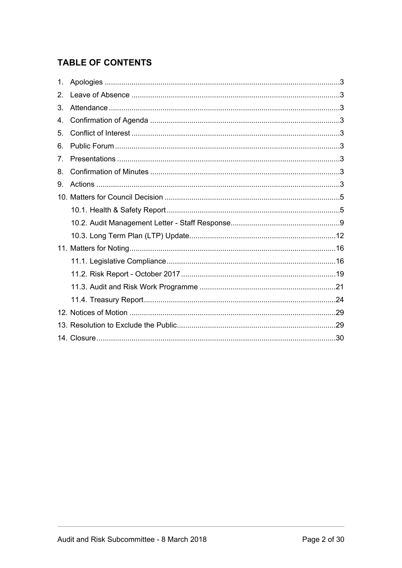# **TABLE OF CONTENTS**

| 1.             |  |
|----------------|--|
| $2_{-}$        |  |
| 3.             |  |
| 4.             |  |
| 5.             |  |
| 6.             |  |
| 7 <sub>1</sub> |  |
| 8.             |  |
| 9.             |  |
|                |  |
|                |  |
|                |  |
|                |  |
|                |  |
|                |  |
|                |  |
|                |  |
|                |  |
|                |  |
|                |  |
|                |  |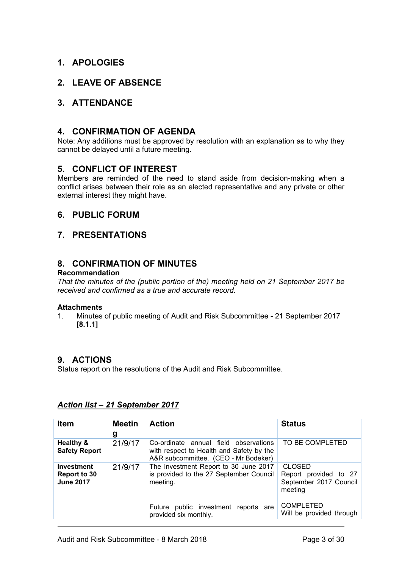# <span id="page-2-0"></span>**1. APOLOGIES**

## <span id="page-2-1"></span>**2. LEAVE OF ABSENCE**

## <span id="page-2-2"></span>**3. ATTENDANCE**

## <span id="page-2-3"></span>**4. CONFIRMATION OF AGENDA**

Note: Any additions must be approved by resolution with an explanation as to why they cannot be delayed until a future meeting.

## <span id="page-2-4"></span>**5. CONFLICT OF INTEREST**

Members are reminded of the need to stand aside from decision-making when a conflict arises between their role as an elected representative and any private or other external interest they might have.

## <span id="page-2-5"></span>**6. PUBLIC FORUM**

## <span id="page-2-6"></span>**7. PRESENTATIONS**

## <span id="page-2-7"></span>**8. CONFIRMATION OF MINUTES**

## **Recommendation**

*That the minutes of the (public portion of the) meeting held on 21 September 2017 be received and confirmed as a true and accurate record.*

#### **Attachments**

1. Minutes of public meeting of Audit and Risk Subcommittee - 21 September 2017 **[8.1.1]**

## <span id="page-2-8"></span>**9. ACTIONS**

Status report on the resolutions of the Audit and Risk Subcommittee.

| <b>Item</b>                                    | <b>Meetin</b><br>g | <b>Action</b>                                                                                                                                                 | <b>Status</b>                                                                                                               |
|------------------------------------------------|--------------------|---------------------------------------------------------------------------------------------------------------------------------------------------------------|-----------------------------------------------------------------------------------------------------------------------------|
| Healthy &<br><b>Safety Report</b>              | 21/9/17            | Co-ordinate annual field observations<br>with respect to Health and Safety by the<br>A&R subcommittee. (CEO - Mr Bodeker)                                     | TO BE COMPLETED                                                                                                             |
| Investment<br>Report to 30<br><b>June 2017</b> | 21/9/17            | The Investment Report to 30 June 2017<br>is provided to the 27 September Council<br>meeting.<br>Future public investment reports are<br>provided six monthly. | <b>CLOSED</b><br>Report provided to 27<br>September 2017 Council<br>meeting<br><b>COMPLETED</b><br>Will be provided through |

## *Action list – 21 September 2017*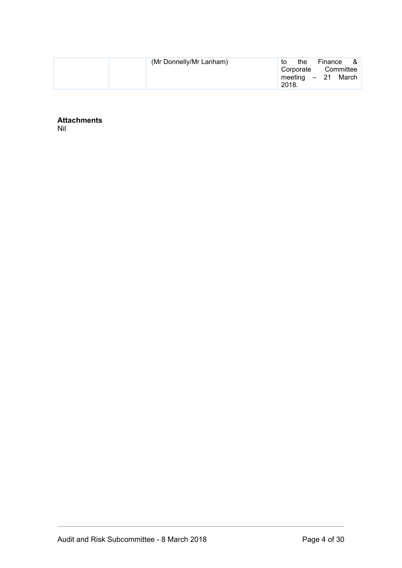| (Mr Donnelly/Mr Lanham) | to    | the                        | Finance &          |
|-------------------------|-------|----------------------------|--------------------|
|                         |       | Corporate<br>meeting $-21$ | Committee<br>March |
|                         | 2018. |                            |                    |

**Attachments** Nil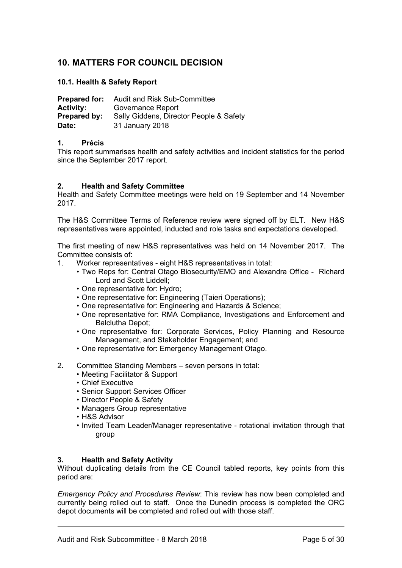# <span id="page-4-0"></span>**10. MATTERS FOR COUNCIL DECISION**

## <span id="page-4-1"></span>**10.1. Health & Safety Report**

| <b>Prepared for:</b> | Audit and Risk Sub-Committee            |
|----------------------|-----------------------------------------|
| <b>Activity:</b>     | Governance Report                       |
| Prepared by:         | Sally Giddens, Director People & Safety |
| Date:                | 31 January 2018                         |

## **1. Précis**

This report summarises health and safety activities and incident statistics for the period since the September 2017 report.

## **2. Health and Safety Committee**

Health and Safety Committee meetings were held on 19 September and 14 November 2017.

The H&S Committee Terms of Reference review were signed off by ELT. New H&S representatives were appointed, inducted and role tasks and expectations developed.

The first meeting of new H&S representatives was held on 14 November 2017. The Committee consists of:

- 1. Worker representatives eight H&S representatives in total:
	- Two Reps for: Central Otago Biosecurity/EMO and Alexandra Office Richard Lord and Scott Liddell;
	- One representative for: Hydro;
	- One representative for: Engineering (Taieri Operations);
	- One representative for: Engineering and Hazards & Science;
	- One representative for: RMA Compliance, Investigations and Enforcement and Balclutha Depot;
	- One representative for: Corporate Services, Policy Planning and Resource Management, and Stakeholder Engagement; and
	- One representative for: Emergency Management Otago.
- 2. Committee Standing Members seven persons in total:
	- Meeting Facilitator & Support
	- Chief Executive
	- Senior Support Services Officer
	- Director People & Safety
	- Managers Group representative
	- H&S Advisor
	- Invited Team Leader/Manager representative rotational invitation through that group

#### **3. Health and Safety Activity**

Without duplicating details from the CE Council tabled reports, key points from this period are:

*Emergency Policy and Procedures Review*: This review has now been completed and currently being rolled out to staff. Once the Dunedin process is completed the ORC depot documents will be completed and rolled out with those staff.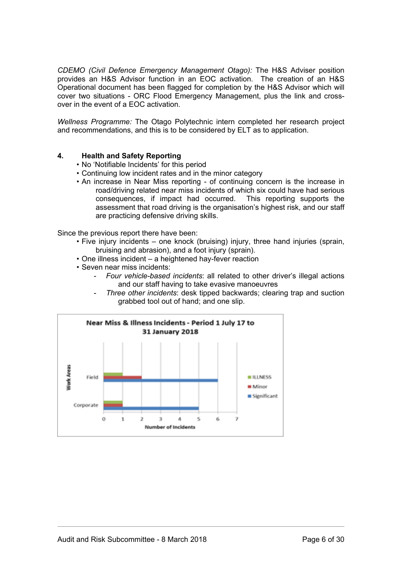*CDEMO (Civil Defence Emergency Management Otago):* The H&S Adviser position provides an H&S Advisor function in an EOC activation. The creation of an H&S Operational document has been flagged for completion by the H&S Advisor which will cover two situations - ORC Flood Emergency Management, plus the link and crossover in the event of a EOC activation.

*Wellness Programme:* The Otago Polytechnic intern completed her research project and recommendations, and this is to be considered by ELT as to application.

## **4. Health and Safety Reporting**

- No 'Notifiable Incidents' for this period
- Continuing low incident rates and in the minor category
- An increase in Near Miss reporting of continuing concern is the increase in road/driving related near miss incidents of which six could have had serious consequences, if impact had occurred. This reporting supports the assessment that road driving is the organisation's highest risk, and our staff are practicing defensive driving skills.

Since the previous report there have been:

- Five injury incidents one knock (bruising) injury, three hand injuries (sprain, bruising and abrasion), and a foot injury (sprain).
- One illness incident a heightened hay-fever reaction
- Seven near miss incidents:
	- *Four vehicle-based incidents*: all related to other driver's illegal actions and our staff having to take evasive manoeuvres
	- *Three other incidents*: desk tipped backwards; clearing trap and suction grabbed tool out of hand; and one slip.

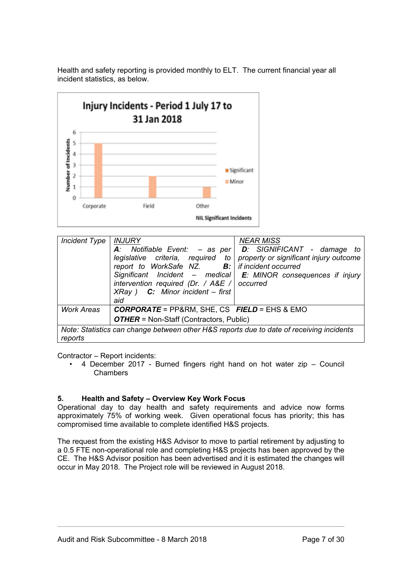

Health and safety reporting is provided monthly to ELT. The current financial year all incident statistics, as below.

| Incident $Type$                                                                                     | <b>INJURY</b><br>report to WorkSafe NZ. $\mathbf{B}$ : if incident occurred<br>intervention required (Dr. / $A&E$ / $\circ$ occurred<br>$XRay$ ) <b>C:</b> Minor incident – first<br>aid | <b>NEAR MISS</b><br>A: Notifiable Event: $-$ as per   D: SIGNIFICANT - damage to<br>legislative criteria, required to property or significant injury outcome<br>Significant Incident – medical $E$ : MINOR consequences if injury |  |  |  |
|-----------------------------------------------------------------------------------------------------|------------------------------------------------------------------------------------------------------------------------------------------------------------------------------------------|-----------------------------------------------------------------------------------------------------------------------------------------------------------------------------------------------------------------------------------|--|--|--|
| <b>Work Areas</b>                                                                                   | <b>CORPORATE</b> = PP&RM, SHE, CS FIELD = EHS & EMO                                                                                                                                      |                                                                                                                                                                                                                                   |  |  |  |
|                                                                                                     | <b>OTHER</b> = Non-Staff (Contractors, Public)                                                                                                                                           |                                                                                                                                                                                                                                   |  |  |  |
| Note: Statistics can change between other H&S reports due to date of receiving incidents<br>reports |                                                                                                                                                                                          |                                                                                                                                                                                                                                   |  |  |  |

Contractor – Report incidents:

• 4 December 2017 - Burned fingers right hand on hot water zip – Council **Chambers** 

## **5. Health and Safety – Overview Key Work Focus**

Operational day to day health and safety requirements and advice now forms approximately 75% of working week. Given operational focus has priority; this has compromised time available to complete identified H&S projects.

The request from the existing H&S Advisor to move to partial retirement by adjusting to a 0.5 FTE non-operational role and completing H&S projects has been approved by the CE. The H&S Advisor position has been advertised and it is estimated the changes will occur in May 2018. The Project role will be reviewed in August 2018.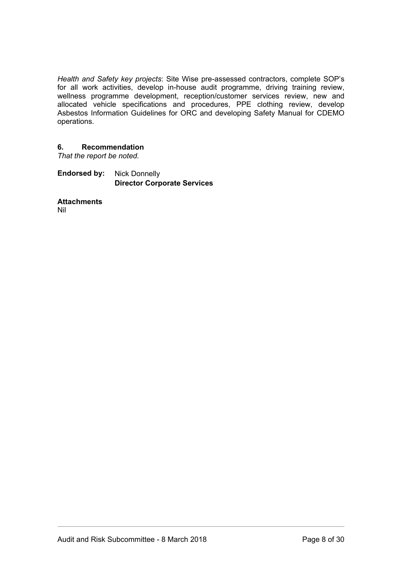*Health and Safety key projects*: Site Wise pre-assessed contractors, complete SOP's for all work activities, develop in-house audit programme, driving training review, wellness programme development, reception/customer services review, new and allocated vehicle specifications and procedures, PPE clothing review, develop Asbestos Information Guidelines for ORC and developing Safety Manual for CDEMO operations.

## **6. Recommendation**

*That the report be noted.*

**Endorsed by:** Nick Donnelly **Director Corporate Services**

**Attachments** Nil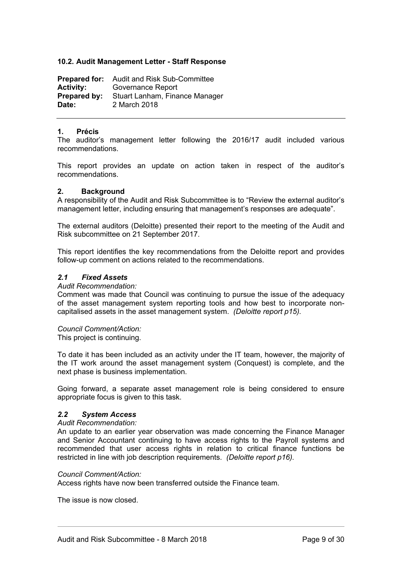## <span id="page-8-0"></span>**10.2. Audit Management Letter - Staff Response**

**Prepared for:** Audit and Risk Sub-Committee **Activity:** Governance Report **Prepared by:** Stuart Lanham, Finance Manager **Date:** 2 March 2018

#### **1. Précis**

The auditor's management letter following the 2016/17 audit included various recommendations.

This report provides an update on action taken in respect of the auditor's recommendations.

## **2. Background**

A responsibility of the Audit and Risk Subcommittee is to "Review the external auditor's management letter, including ensuring that management's responses are adequate".

The external auditors (Deloitte) presented their report to the meeting of the Audit and Risk subcommittee on 21 September 2017.

This report identifies the key recommendations from the Deloitte report and provides follow-up comment on actions related to the recommendations.

## *2.1 Fixed Assets*

*Audit Recommendation:* 

Comment was made that Council was continuing to pursue the issue of the adequacy of the asset management system reporting tools and how best to incorporate noncapitalised assets in the asset management system. *(Deloitte report p15).*

#### *Council Comment/Action:*

This project is continuing.

To date it has been included as an activity under the IT team, however, the majority of the IT work around the asset management system (Conquest) is complete, and the next phase is business implementation.

Going forward, a separate asset management role is being considered to ensure appropriate focus is given to this task.

## *2.2 System Access*

#### *Audit Recommendation:*

An update to an earlier year observation was made concerning the Finance Manager and Senior Accountant continuing to have access rights to the Payroll systems and recommended that user access rights in relation to critical finance functions be restricted in line with job description requirements. *(Deloitte report p16).*

## *Council Comment/Action:*

Access rights have now been transferred outside the Finance team.

The issue is now closed.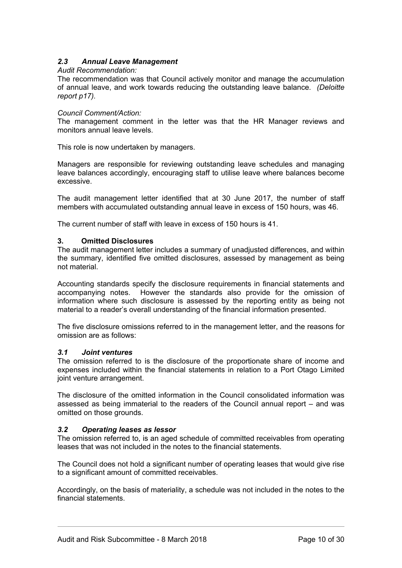## *2.3 Annual Leave Management*

## *Audit Recommendation:*

The recommendation was that Council actively monitor and manage the accumulation of annual leave, and work towards reducing the outstanding leave balance. *(Deloitte report p17).*

### *Council Comment/Action:*

The management comment in the letter was that the HR Manager reviews and monitors annual leave levels.

This role is now undertaken by managers.

Managers are responsible for reviewing outstanding leave schedules and managing leave balances accordingly, encouraging staff to utilise leave where balances become excessive.

The audit management letter identified that at 30 June 2017, the number of staff members with accumulated outstanding annual leave in excess of 150 hours, was 46.

The current number of staff with leave in excess of 150 hours is 41.

## **3. Omitted Disclosures**

The audit management letter includes a summary of unadjusted differences, and within the summary, identified five omitted disclosures, assessed by management as being not material.

Accounting standards specify the disclosure requirements in financial statements and accompanying notes. However the standards also provide for the omission of information where such disclosure is assessed by the reporting entity as being not material to a reader's overall understanding of the financial information presented.

The five disclosure omissions referred to in the management letter, and the reasons for omission are as follows:

#### *3.1 Joint ventures*

The omission referred to is the disclosure of the proportionate share of income and expenses included within the financial statements in relation to a Port Otago Limited joint venture arrangement.

The disclosure of the omitted information in the Council consolidated information was assessed as being immaterial to the readers of the Council annual report – and was omitted on those grounds.

## *3.2 Operating leases as lessor*

The omission referred to, is an aged schedule of committed receivables from operating leases that was not included in the notes to the financial statements.

The Council does not hold a significant number of operating leases that would give rise to a significant amount of committed receivables.

Accordingly, on the basis of materiality, a schedule was not included in the notes to the financial statements.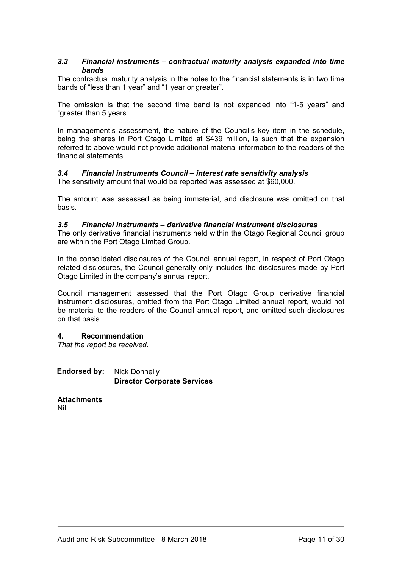## *3.3 Financial instruments – contractual maturity analysis expanded into time bands*

The contractual maturity analysis in the notes to the financial statements is in two time bands of "less than 1 year" and "1 year or greater".

The omission is that the second time band is not expanded into "1-5 years" and "greater than 5 years".

In management's assessment, the nature of the Council's key item in the schedule, being the shares in Port Otago Limited at \$439 million, is such that the expansion referred to above would not provide additional material information to the readers of the financial statements.

# *3.4 Financial instruments Council – interest rate sensitivity analysis*

The sensitivity amount that would be reported was assessed at \$60,000.

The amount was assessed as being immaterial, and disclosure was omitted on that basis.

## *3.5 Financial instruments – derivative financial instrument disclosures*

The only derivative financial instruments held within the Otago Regional Council group are within the Port Otago Limited Group.

In the consolidated disclosures of the Council annual report, in respect of Port Otago related disclosures, the Council generally only includes the disclosures made by Port Otago Limited in the company's annual report.

Council management assessed that the Port Otago Group derivative financial instrument disclosures, omitted from the Port Otago Limited annual report, would not be material to the readers of the Council annual report, and omitted such disclosures on that basis.

## **4. Recommendation**

*That the report be received.* 

**Endorsed by:** Nick Donnelly **Director Corporate Services**

**Attachments** Nil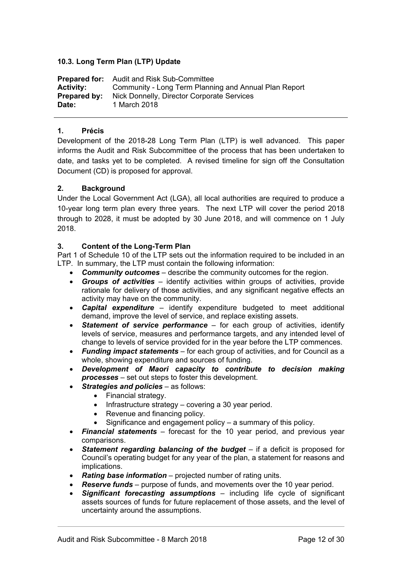## <span id="page-11-0"></span>**10.3. Long Term Plan (LTP) Update**

|                     | <b>Prepared for:</b> Audit and Risk Sub-Committee     |
|---------------------|-------------------------------------------------------|
| <b>Activity:</b>    | Community - Long Term Planning and Annual Plan Report |
| <b>Prepared by:</b> | Nick Donnelly, Director Corporate Services            |
| Date:               | 1 March 2018                                          |

## **1. Précis**

Development of the 2018-28 Long Term Plan (LTP) is well advanced. This paper informs the Audit and Risk Subcommittee of the process that has been undertaken to date, and tasks yet to be completed. A revised timeline for sign off the Consultation Document (CD) is proposed for approval.

## **2. Background**

Under the Local Government Act (LGA), all local authorities are required to produce a 10-year long term plan every three years. The next LTP will cover the period 2018 through to 2028, it must be adopted by 30 June 2018, and will commence on 1 July 2018.

## **3. Content of the Long-Term Plan**

Part 1 of Schedule 10 of the LTP sets out the information required to be included in an LTP. In summary, the LTP must contain the following information:

- *Community outcomes* describe the community outcomes for the region.
- *Groups of activities* identify activities within groups of activities, provide rationale for delivery of those activities, and any significant negative effects an activity may have on the community.
- *Capital expenditure* identify expenditure budgeted to meet additional demand, improve the level of service, and replace existing assets.
- *Statement of service performance* for each group of activities, identify levels of service, measures and performance targets, and any intended level of change to levels of service provided for in the year before the LTP commences.
- *Funding impact statements* for each group of activities, and for Council as a whole, showing expenditure and sources of funding.
- *Development of Maori capacity to contribute to decision making processes* – set out steps to foster this development.
- *Strategies and policies* as follows:
	- Financial strategy.
	- $\bullet$  Infrastructure strategy covering a 30 year period.
	- Revenue and financing policy.
	- Significance and engagement policy a summary of this policy.
- *Financial statements* forecast for the 10 year period, and previous year comparisons.
- *Statement regarding balancing of the budget* if a deficit is proposed for Council's operating budget for any year of the plan, a statement for reasons and implications.
- *Rating base information* projected number of rating units.
- *Reserve funds* purpose of funds, and movements over the 10 year period.
- *Significant forecasting assumptions* including life cycle of significant assets sources of funds for future replacement of those assets, and the level of uncertainty around the assumptions.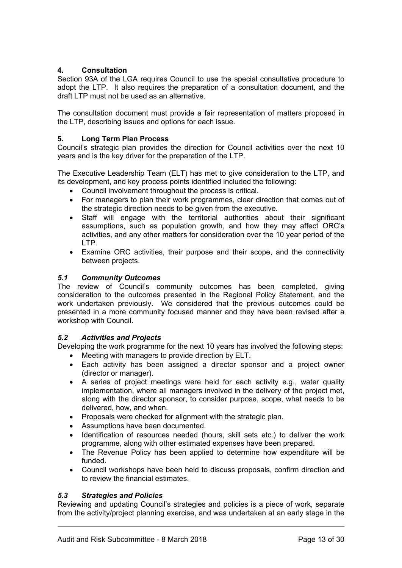## **4. Consultation**

Section 93A of the LGA requires Council to use the special consultative procedure to adopt the LTP. It also requires the preparation of a consultation document, and the draft LTP must not be used as an alternative.

The consultation document must provide a fair representation of matters proposed in the LTP, describing issues and options for each issue.

## **5. Long Term Plan Process**

Council's strategic plan provides the direction for Council activities over the next 10 years and is the key driver for the preparation of the LTP.

The Executive Leadership Team (ELT) has met to give consideration to the LTP, and its development, and key process points identified included the following:

- Council involvement throughout the process is critical.
- For managers to plan their work programmes, clear direction that comes out of the strategic direction needs to be given from the executive.
- Staff will engage with the territorial authorities about their significant assumptions, such as population growth, and how they may affect ORC's activities, and any other matters for consideration over the 10 year period of the LTP.
- Examine ORC activities, their purpose and their scope, and the connectivity between projects.

## *5.1 Community Outcomes*

The review of Council's community outcomes has been completed, giving consideration to the outcomes presented in the Regional Policy Statement, and the work undertaken previously. We considered that the previous outcomes could be presented in a more community focused manner and they have been revised after a workshop with Council.

## *5.2 Activities and Projects*

Developing the work programme for the next 10 years has involved the following steps:

- Meeting with managers to provide direction by ELT.
- Each activity has been assigned a director sponsor and a project owner (director or manager).
- A series of project meetings were held for each activity e.g., water quality implementation, where all managers involved in the delivery of the project met, along with the director sponsor, to consider purpose, scope, what needs to be delivered, how, and when.
- Proposals were checked for alignment with the strategic plan.
- Assumptions have been documented.
- Identification of resources needed (hours, skill sets etc.) to deliver the work programme, along with other estimated expenses have been prepared.
- The Revenue Policy has been applied to determine how expenditure will be funded.
- Council workshops have been held to discuss proposals, confirm direction and to review the financial estimates.

## *5.3 Strategies and Policies*

Reviewing and updating Council's strategies and policies is a piece of work, separate from the activity/project planning exercise, and was undertaken at an early stage in the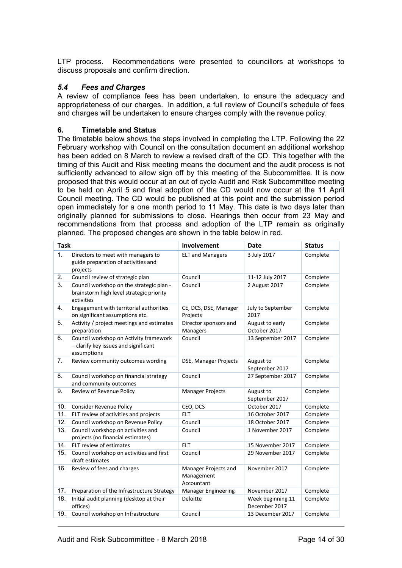LTP process. Recommendations were presented to councillors at workshops to discuss proposals and confirm direction.

## *5.4 Fees and Charges*

A review of compliance fees has been undertaken, to ensure the adequacy and appropriateness of our charges. In addition, a full review of Council's schedule of fees and charges will be undertaken to ensure charges comply with the revenue policy.

## **6. Timetable and Status**

The timetable below shows the steps involved in completing the LTP. Following the 22 February workshop with Council on the consultation document an additional workshop has been added on 8 March to review a revised draft of the CD. This together with the timing of this Audit and Risk meeting means the document and the audit process is not sufficiently advanced to allow sign off by this meeting of the Subcommittee. It is now proposed that this would occur at an out of cycle Audit and Risk Subcommittee meeting to be held on April 5 and final adoption of the CD would now occur at the 11 April Council meeting. The CD would be published at this point and the submission period open immediately for a one month period to 11 May. This date is two days later than originally planned for submissions to close. Hearings then occur from 23 May and recommendations from that process and adoption of the LTP remain as originally planned. The proposed changes are shown in the table below in red.

| <b>Task</b> |                                                                                                    | Involvement                                      | Date                               | <b>Status</b> |
|-------------|----------------------------------------------------------------------------------------------------|--------------------------------------------------|------------------------------------|---------------|
| 1.          | Directors to meet with managers to<br>guide preparation of activities and<br>projects              | <b>ELT and Managers</b>                          | 3 July 2017                        | Complete      |
| 2.          | Council review of strategic plan                                                                   | Council                                          | 11-12 July 2017                    | Complete      |
| 3.          | Council workshop on the strategic plan -<br>brainstorm high level strategic priority<br>activities | Council                                          | 2 August 2017                      | Complete      |
| 4.          | Engagement with territorial authorities<br>on significant assumptions etc.                         | CE, DCS, DSE, Manager<br>Projects                | July to September<br>2017          | Complete      |
| 5.          | Activity / project meetings and estimates<br>preparation                                           | Director sponsors and<br><b>Managers</b>         | August to early<br>October 2017    | Complete      |
| 6.          | Council workshop on Activity framework<br>- clarify key issues and significant<br>assumptions      | Council                                          | 13 September 2017                  | Complete      |
| 7.          | Review community outcomes wording                                                                  | DSE, Manager Projects                            | August to<br>September 2017        | Complete      |
| 8.          | Council workshop on financial strategy<br>and community outcomes                                   | Council                                          | 27 September 2017                  | Complete      |
| 9.          | Review of Revenue Policy                                                                           | <b>Manager Projects</b>                          | August to<br>September 2017        | Complete      |
| 10.         | <b>Consider Revenue Policy</b>                                                                     | CEO, DCS                                         | October 2017                       | Complete      |
| 11.         | ELT review of activities and projects                                                              | <b>ELT</b>                                       | 16 October 2017                    | Complete      |
| 12.         | Council workshop on Revenue Policy                                                                 | Council                                          | 18 October 2017                    | Complete      |
| 13.         | Council workshop on activities and<br>projects (no financial estimates)                            | Council                                          | 1 November 2017                    | Complete      |
| 14.         | ELT review of estimates                                                                            | <b>ELT</b>                                       | 15 November 2017                   | Complete      |
| 15.         | Council workshop on activities and first<br>draft estimates                                        | Council                                          | 29 November 2017                   | Complete      |
| 16.         | Review of fees and charges                                                                         | Manager Projects and<br>Management<br>Accountant | November 2017                      | Complete      |
| 17.         | Preparation of the Infrastructure Strategy                                                         | <b>Manager Engineering</b>                       | November 2017                      | Complete      |
| 18.         | Initial audit planning (desktop at their<br>offices)                                               | <b>Deloitte</b>                                  | Week beginning 11<br>December 2017 | Complete      |
| 19.         | Council workshop on Infrastructure                                                                 | Council                                          | 13 December 2017                   | Complete      |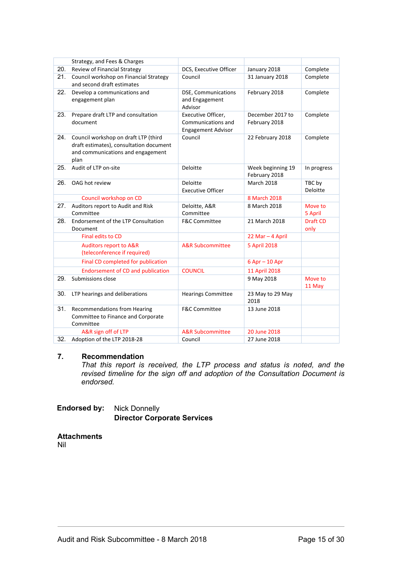|     | Strategy, and Fees & Charges                                                                                                 |                                                                       |                                    |                         |
|-----|------------------------------------------------------------------------------------------------------------------------------|-----------------------------------------------------------------------|------------------------------------|-------------------------|
| 20. | Review of Financial Strategy                                                                                                 | DCS, Executive Officer                                                | January 2018                       | Complete                |
| 21. | Council workshop on Financial Strategy<br>and second draft estimates                                                         | Council                                                               | 31 January 2018                    | Complete                |
| 22. | Develop a communications and<br>engagement plan                                                                              | <b>DSE, Communications</b><br>and Engagement<br>Advisor               | February 2018                      | Complete                |
| 23. | Prepare draft LTP and consultation<br>document                                                                               | Executive Officer,<br>Communications and<br><b>Engagement Advisor</b> | December 2017 to<br>February 2018  | Complete                |
| 24. | Council workshop on draft LTP (third<br>draft estimates), consultation document<br>and communications and engagement<br>plan | Council                                                               | 22 February 2018                   | Complete                |
| 25. | Audit of LTP on-site                                                                                                         | Deloitte                                                              | Week beginning 19<br>February 2018 | In progress             |
| 26. | OAG hot review                                                                                                               | Deloitte<br><b>Executive Officer</b>                                  | <b>March 2018</b>                  | TBC by<br>Deloitte      |
|     | Council workshop on CD                                                                                                       |                                                                       | 8 March 2018                       |                         |
| 27. | Auditors report to Audit and Risk<br>Committee                                                                               | Deloitte, A&R<br>Committee                                            | 8 March 2018                       | Move to<br>5 April      |
| 28. | Endorsement of the LTP Consultation<br>Document                                                                              | <b>F&amp;C Committee</b>                                              | 21 March 2018                      | <b>Draft CD</b><br>only |
|     | Final edits to CD                                                                                                            |                                                                       | 22 Mar - 4 April                   |                         |
|     | <b>Auditors report to A&amp;R</b><br>(teleconference if required)                                                            | <b>A&amp;R Subcommittee</b>                                           | 5 April 2018                       |                         |
|     | Final CD completed for publication                                                                                           |                                                                       | 6 Apr - 10 Apr                     |                         |
|     | <b>Endorsement of CD and publication</b>                                                                                     | <b>COUNCIL</b>                                                        | 11 April 2018                      |                         |
| 29. | Submissions close                                                                                                            |                                                                       | 9 May 2018                         | Move to<br>11 May       |
| 30. | LTP hearings and deliberations                                                                                               | <b>Hearings Committee</b>                                             | 23 May to 29 May<br>2018           |                         |
| 31. | <b>Recommendations from Hearing</b><br>Committee to Finance and Corporate<br>Committee                                       | <b>F&amp;C Committee</b>                                              | 13 June 2018                       |                         |
|     | A&R sign off of LTP                                                                                                          | <b>A&amp;R Subcommittee</b>                                           | 20 June 2018                       |                         |
| 32. | Adoption of the LTP 2018-28                                                                                                  | Council                                                               | 27 June 2018                       |                         |

## **7. Recommendation**

*That this report is received, the LTP process and status is noted, and the revised timeline for the sign off and adoption of the Consultation Document is endorsed.*

## **Endorsed by:** Nick Donnelly **Director Corporate Services**

#### **Attachments** Nil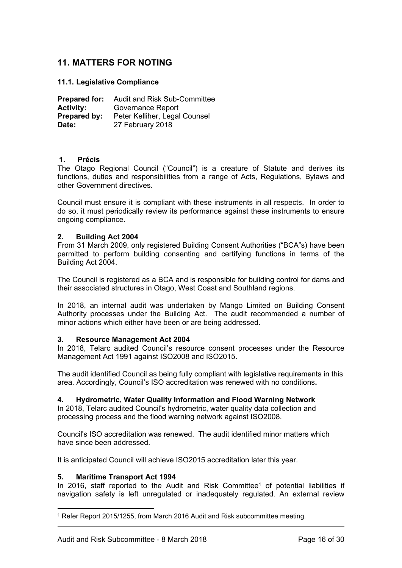## <span id="page-15-0"></span>**11. MATTERS FOR NOTING**

## <span id="page-15-1"></span>**11.1. Legislative Compliance**

**Prepared for:** Audit and Risk Sub-Committee **Activity:** Governance Report **Prepared by:** Peter Kelliher, Legal Counsel **Date:** 27 February 2018

## **1. Précis**

The Otago Regional Council ("Council") is a creature of Statute and derives its functions, duties and responsibilities from a range of Acts, Regulations, Bylaws and other Government directives.

Council must ensure it is compliant with these instruments in all respects. In order to do so, it must periodically review its performance against these instruments to ensure ongoing compliance.

## **2. Building Act 2004**

From 31 March 2009, only registered Building Consent Authorities ("BCA"s) have been permitted to perform building consenting and certifying functions in terms of the Building Act 2004.

The Council is registered as a BCA and is responsible for building control for dams and their associated structures in Otago, West Coast and Southland regions.

In 2018, an internal audit was undertaken by Mango Limited on Building Consent Authority processes under the Building Act. The audit recommended a number of minor actions which either have been or are being addressed.

#### **3. Resource Management Act 2004**

In 2018, Telarc audited Council's resource consent processes under the Resource Management Act 1991 against ISO2008 and ISO2015.

The audit identified Council as being fully compliant with legislative requirements in this area. Accordingly, Council's ISO accreditation was renewed with no conditions**.**

## **4. Hydrometric, Water Quality Information and Flood Warning Network**

In 2018, Telarc audited Council's hydrometric, water quality data collection and processing process and the flood warning network against ISO2008.

Council's ISO accreditation was renewed. The audit identified minor matters which have since been addressed.

It is anticipated Council will achieve ISO2015 accreditation later this year.

#### **5. Maritime Transport Act 1994**

In 2016, staff reported to the Audit and Risk Committee<sup>1</sup> of potential liabilities if navigation safety is left unregulated or inadequately regulated. An external review

<sup>1</sup> Refer Report 2015/1255, from March 2016 Audit and Risk subcommittee meeting.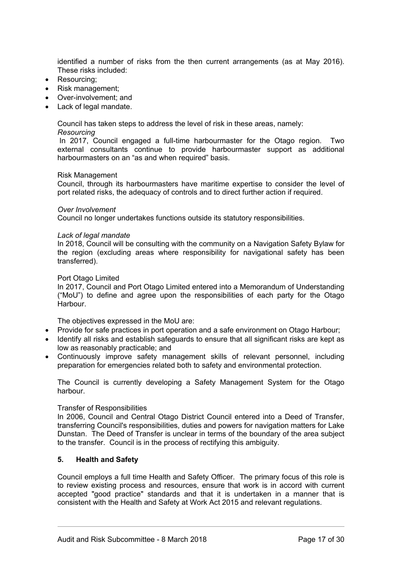identified a number of risks from the then current arrangements (as at May 2016). These risks included:

- Resourcing:
- Risk management:
- Over-involvement; and
- Lack of legal mandate.

Council has taken steps to address the level of risk in these areas, namely:

## *Resourcing*

 In 2017, Council engaged a full-time harbourmaster for the Otago region. Two external consultants continue to provide harbourmaster support as additional harbourmasters on an "as and when required" basis.

#### Risk Management

Council, through its harbourmasters have maritime expertise to consider the level of port related risks, the adequacy of controls and to direct further action if required.

#### *Over Involvement*

Council no longer undertakes functions outside its statutory responsibilities.

## *Lack of legal mandate*

In 2018, Council will be consulting with the community on a Navigation Safety Bylaw for the region (excluding areas where responsibility for navigational safety has been transferred).

## Port Otago Limited

In 2017, Council and Port Otago Limited entered into a Memorandum of Understanding ("MoU") to define and agree upon the responsibilities of each party for the Otago Harbour.

The objectives expressed in the MoU are:

- Provide for safe practices in port operation and a safe environment on Otago Harbour;
- Identify all risks and establish safeguards to ensure that all significant risks are kept as low as reasonably practicable; and
- Continuously improve safety management skills of relevant personnel, including preparation for emergencies related both to safety and environmental protection.

The Council is currently developing a Safety Management System for the Otago harbour.

## Transfer of Responsibilities

In 2006, Council and Central Otago District Council entered into a Deed of Transfer, transferring Council's responsibilities, duties and powers for navigation matters for Lake Dunstan. The Deed of Transfer is unclear in terms of the boundary of the area subject to the transfer. Council is in the process of rectifying this ambiguity.

## **5. Health and Safety**

Council employs a full time Health and Safety Officer. The primary focus of this role is to review existing process and resources, ensure that work is in accord with current accepted "good practice" standards and that it is undertaken in a manner that is consistent with the Health and Safety at Work Act 2015 and relevant regulations.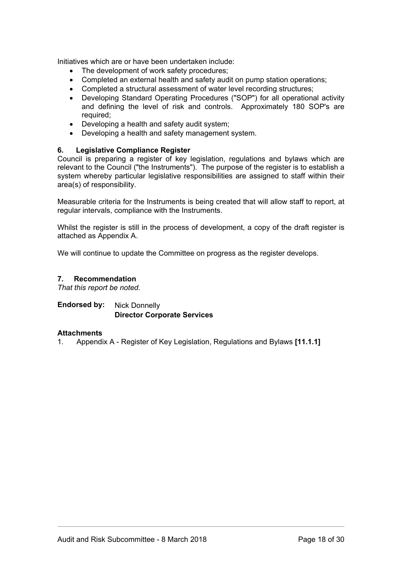Initiatives which are or have been undertaken include:

- The development of work safety procedures:
- Completed an external health and safety audit on pump station operations;
- Completed a structural assessment of water level recording structures;
- Developing Standard Operating Procedures ("SOP") for all operational activity and defining the level of risk and controls. Approximately 180 SOP's are required;
- Developing a health and safety audit system:
- Developing a health and safety management system.

## **6. Legislative Compliance Register**

Council is preparing a register of key legislation, regulations and bylaws which are relevant to the Council ("the Instruments"). The purpose of the register is to establish a system whereby particular legislative responsibilities are assigned to staff within their area(s) of responsibility.

Measurable criteria for the Instruments is being created that will allow staff to report, at regular intervals, compliance with the Instruments.

Whilst the register is still in the process of development, a copy of the draft register is attached as Appendix A.

We will continue to update the Committee on progress as the register develops.

## **7. Recommendation**

*That this report be noted.*

## **Endorsed by:** Nick Donnelly **Director Corporate Services**

## **Attachments**

1. Appendix A - Register of Key Legislation, Regulations and Bylaws **[11.1.1]**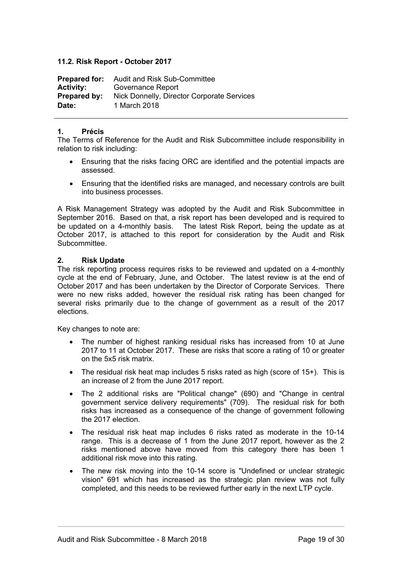## <span id="page-18-0"></span>**11.2. Risk Report - October 2017**

| <b>Prepared for:</b> | <b>Audit and Risk Sub-Committee</b>        |
|----------------------|--------------------------------------------|
| <b>Activity:</b>     | Governance Report                          |
| <b>Prepared by:</b>  | Nick Donnelly, Director Corporate Services |
| Date:                | 1 March 2018                               |

## **1. Précis**

The Terms of Reference for the Audit and Risk Subcommittee include responsibility in relation to risk including:

- Ensuring that the risks facing ORC are identified and the potential impacts are assessed.
- Ensuring that the identified risks are managed, and necessary controls are built into business processes.

A Risk Management Strategy was adopted by the Audit and Risk Subcommittee in September 2016. Based on that, a risk report has been developed and is required to be updated on a 4-monthly basis. The latest Risk Report, being the update as at October 2017, is attached to this report for consideration by the Audit and Risk **Subcommittee.** 

## **2. Risk Update**

The risk reporting process requires risks to be reviewed and updated on a 4-monthly cycle at the end of February, June, and October. The latest review is at the end of October 2017 and has been undertaken by the Director of Corporate Services. There were no new risks added, however the residual risk rating has been changed for several risks primarily due to the change of government as a result of the 2017 elections.

Key changes to note are:

- The number of highest ranking residual risks has increased from 10 at June 2017 to 11 at October 2017. These are risks that score a rating of 10 or greater on the 5x5 risk matrix.
- The residual risk heat map includes 5 risks rated as high (score of 15+). This is an increase of 2 from the June 2017 report.
- The 2 additional risks are "Political change" (690) and "Change in central government service delivery requirements" (709). The residual risk for both risks has increased as a consequence of the change of government following the 2017 election.
- The residual risk heat map includes 6 risks rated as moderate in the 10-14 range. This is a decrease of 1 from the June 2017 report, however as the 2 risks mentioned above have moved from this category there has been 1 additional risk move into this rating.
- The new risk moving into the 10-14 score is "Undefined or unclear strategic vision" 691 which has increased as the strategic plan review was not fully completed, and this needs to be reviewed further early in the next LTP cycle.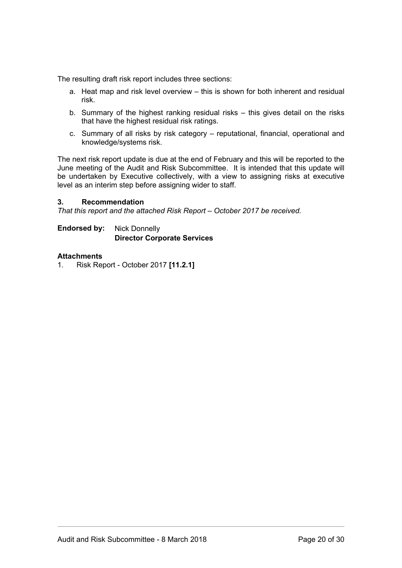The resulting draft risk report includes three sections:

- a. Heat map and risk level overview this is shown for both inherent and residual risk.
- b. Summary of the highest ranking residual risks this gives detail on the risks that have the highest residual risk ratings.
- c. Summary of all risks by risk category reputational, financial, operational and knowledge/systems risk.

The next risk report update is due at the end of February and this will be reported to the June meeting of the Audit and Risk Subcommittee. It is intended that this update will be undertaken by Executive collectively, with a view to assigning risks at executive level as an interim step before assigning wider to staff.

## **3. Recommendation**

*That this report and the attached Risk Report – October 2017 be received.*

**Endorsed by:** Nick Donnelly **Director Corporate Services**

## **Attachments**

1. Risk Report - October 2017 **[11.2.1]**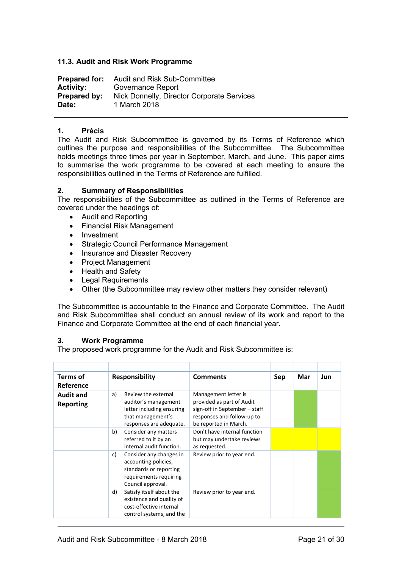## <span id="page-20-0"></span>**11.3. Audit and Risk Work Programme**

| <b>Prepared for:</b> | <b>Audit and Risk Sub-Committee</b>        |
|----------------------|--------------------------------------------|
| <b>Activity:</b>     | Governance Report                          |
| Prepared by:         | Nick Donnelly, Director Corporate Services |
| Date:                | 1 March 2018                               |

## **1. Précis**

The Audit and Risk Subcommittee is governed by its Terms of Reference which outlines the purpose and responsibilities of the Subcommittee. The Subcommittee holds meetings three times per year in September, March, and June. This paper aims to summarise the work programme to be covered at each meeting to ensure the responsibilities outlined in the Terms of Reference are fulfilled.

## **2. Summary of Responsibilities**

The responsibilities of the Subcommittee as outlined in the Terms of Reference are covered under the headings of:

- Audit and Reporting
- Financial Risk Management
- Investment
- Strategic Council Performance Management
- Insurance and Disaster Recovery
- Project Management
- Health and Safety
- Legal Requirements
- Other (the Subcommittee may review other matters they consider relevant)

The Subcommittee is accountable to the Finance and Corporate Committee. The Audit and Risk Subcommittee shall conduct an annual review of its work and report to the Finance and Corporate Committee at the end of each financial year.

#### **3. Work Programme**

The proposed work programme for the Audit and Risk Subcommittee is:

| Terms of<br>Reference                | <b>Responsibility</b>                                                                                                          | <b>Comments</b>                                                                                                                           | Sep | Mar | <b>Jun</b> |
|--------------------------------------|--------------------------------------------------------------------------------------------------------------------------------|-------------------------------------------------------------------------------------------------------------------------------------------|-----|-----|------------|
| <b>Audit and</b><br><b>Reporting</b> | Review the external<br>a)<br>auditor's management<br>letter including ensuring<br>that management's<br>responses are adequate. | Management letter is<br>provided as part of Audit<br>sign-off in September - staff<br>responses and follow-up to<br>be reported in March. |     |     |            |
|                                      | Consider any matters<br>b)<br>referred to it by an<br>internal audit function.                                                 | Don't have internal function<br>but may undertake reviews<br>as requested.                                                                |     |     |            |
|                                      | Consider any changes in<br>c)<br>accounting policies,<br>standards or reporting<br>requirements requiring<br>Council approval. | Review prior to year end.                                                                                                                 |     |     |            |
|                                      | Satisfy itself about the<br>d)<br>existence and quality of<br>cost-effective internal<br>control systems, and the              | Review prior to year end.                                                                                                                 |     |     |            |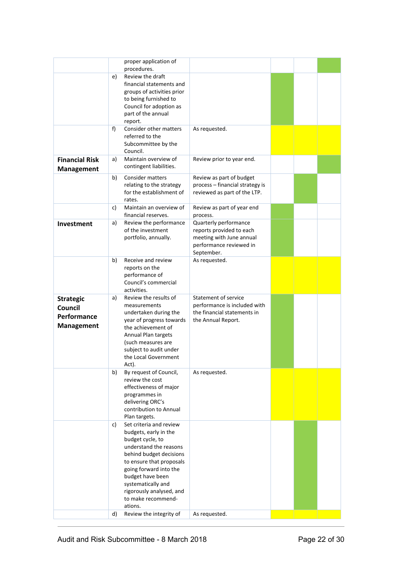|                                                                 |          | proper application of<br>procedures.                                                                                                                                                                                                                                                                              |                                                                                                                        |  |  |
|-----------------------------------------------------------------|----------|-------------------------------------------------------------------------------------------------------------------------------------------------------------------------------------------------------------------------------------------------------------------------------------------------------------------|------------------------------------------------------------------------------------------------------------------------|--|--|
|                                                                 | e)       | Review the draft<br>financial statements and<br>groups of activities prior<br>to being furnished to<br>Council for adoption as<br>part of the annual<br>report.                                                                                                                                                   |                                                                                                                        |  |  |
|                                                                 | f)       | Consider other matters<br>referred to the<br>Subcommittee by the<br>Council.                                                                                                                                                                                                                                      | As requested.                                                                                                          |  |  |
| <b>Financial Risk</b><br><b>Management</b>                      | a)       | Maintain overview of<br>contingent liabilities.                                                                                                                                                                                                                                                                   | Review prior to year end.                                                                                              |  |  |
|                                                                 | b)       | Consider matters<br>relating to the strategy<br>for the establishment of<br>rates.                                                                                                                                                                                                                                | Review as part of budget<br>process - financial strategy is<br>reviewed as part of the LTP.                            |  |  |
|                                                                 | c)       | Maintain an overview of<br>financial reserves.                                                                                                                                                                                                                                                                    | Review as part of year end<br>process.                                                                                 |  |  |
| Investment                                                      | a)       | Review the performance<br>of the investment<br>portfolio, annually.                                                                                                                                                                                                                                               | Quarterly performance<br>reports provided to each<br>meeting with June annual<br>performance reviewed in<br>September. |  |  |
|                                                                 | b)       | Receive and review<br>reports on the<br>performance of<br>Council's commercial<br>activities.                                                                                                                                                                                                                     | As requested.                                                                                                          |  |  |
| <b>Strategic</b><br>Council<br>Performance<br><b>Management</b> | a)       | Review the results of<br>measurements<br>undertaken during the<br>year of progress towards<br>the achievement of<br>Annual Plan targets<br>(such measures are<br>subject to audit under<br>the Local Government<br>Act).                                                                                          | <b>Statement of service</b><br>performance is included with<br>the financial statements in<br>the Annual Report.       |  |  |
|                                                                 | b)       | By request of Council,<br>review the cost<br>effectiveness of major<br>programmes in<br>delivering ORC's<br>contribution to Annual<br>Plan targets.                                                                                                                                                               | As requested.                                                                                                          |  |  |
|                                                                 | c)<br>d) | Set criteria and review<br>budgets, early in the<br>budget cycle, to<br>understand the reasons<br>behind budget decisions<br>to ensure that proposals<br>going forward into the<br>budget have been<br>systematically and<br>rigorously analysed, and<br>to make recommend-<br>ations.<br>Review the integrity of | As requested.                                                                                                          |  |  |
|                                                                 |          |                                                                                                                                                                                                                                                                                                                   |                                                                                                                        |  |  |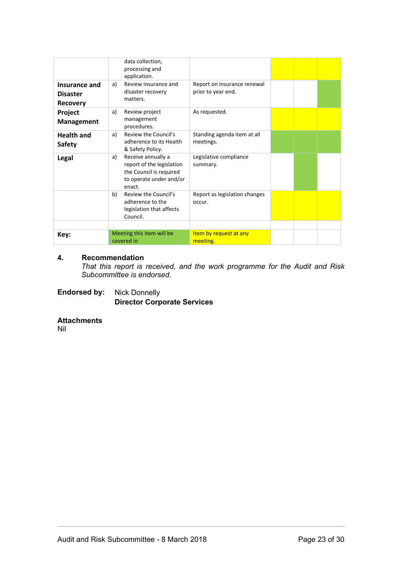| Insurance and<br><b>Disaster</b><br><b>Recovery</b> | data collection,<br>processing and<br>application.<br>Review insurance and<br>a)<br>disaster recovery<br>matters.     | Report on insurance renewal<br>prior to year end. |  |  |
|-----------------------------------------------------|-----------------------------------------------------------------------------------------------------------------------|---------------------------------------------------|--|--|
| Project<br><b>Management</b>                        | Review project<br>a)<br>management<br>procedures.                                                                     | As requested.                                     |  |  |
| <b>Health and</b><br><b>Safety</b>                  | Review the Council's<br>a)<br>adherence to its Health<br>& Safety Policy.                                             | Standing agenda item at all<br>meetings.          |  |  |
| Legal                                               | Receive annually a<br>a)<br>report of the legislation<br>the Council is required<br>to operate under and/or<br>enact. | Legislative compliance<br>summary.                |  |  |
|                                                     | Review the Council's<br>b)<br>adherence to the<br>legislation that affects<br>Council.                                | Report as legislation changes<br>occur.           |  |  |
|                                                     |                                                                                                                       |                                                   |  |  |
| Key:                                                | Meeting this item will be<br>covered in                                                                               | Item by request at any<br>meeting.                |  |  |

## **4. Recommendation**

*That this report is received, and the work programme for the Audit and Risk Subcommittee is endorsed.*

**Endorsed by:** Nick Donnelly **Director Corporate Services**

## **Attachments**

Nil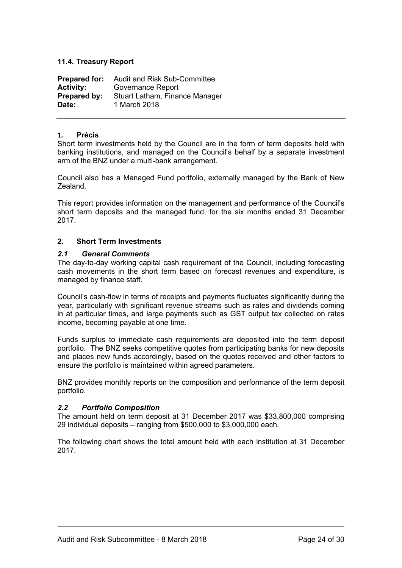## <span id="page-23-0"></span>**11.4. Treasury Report**

| <b>Prepared for:</b> | Audit and Risk Sub-Committee   |  |  |
|----------------------|--------------------------------|--|--|
| <b>Activity:</b>     | Governance Report              |  |  |
| Prepared by:         | Stuart Latham, Finance Manager |  |  |
| Date:                | 1 March 2018                   |  |  |

### **1. Précis**

Short term investments held by the Council are in the form of term deposits held with banking institutions, and managed on the Council's behalf by a separate investment arm of the BNZ under a multi-bank arrangement.

Council also has a Managed Fund portfolio, externally managed by the Bank of New Zealand.

This report provides information on the management and performance of the Council's short term deposits and the managed fund, for the six months ended 31 December 2017.

## **2. Short Term Investments**

## *2.1 General Comments*

The day-to-day working capital cash requirement of the Council, including forecasting cash movements in the short term based on forecast revenues and expenditure, is managed by finance staff.

Council's cash-flow in terms of receipts and payments fluctuates significantly during the year, particularly with significant revenue streams such as rates and dividends coming in at particular times, and large payments such as GST output tax collected on rates income, becoming payable at one time.

Funds surplus to immediate cash requirements are deposited into the term deposit portfolio. The BNZ seeks competitive quotes from participating banks for new deposits and places new funds accordingly, based on the quotes received and other factors to ensure the portfolio is maintained within agreed parameters.

BNZ provides monthly reports on the composition and performance of the term deposit portfolio.

## *2.2 Portfolio Composition*

The amount held on term deposit at 31 December 2017 was \$33,800,000 comprising 29 individual deposits – ranging from \$500,000 to \$3,000,000 each.

The following chart shows the total amount held with each institution at 31 December 2017.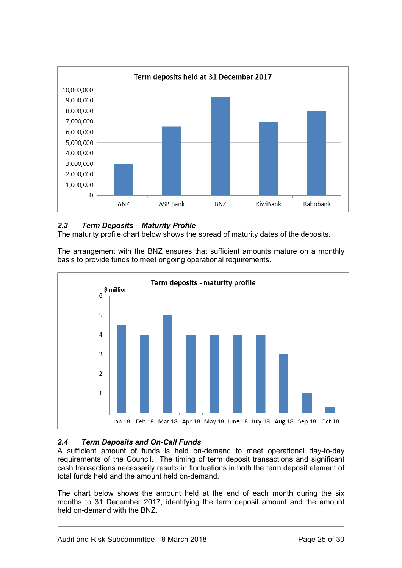

## *2.3 Term Deposits – Maturity Profile*

The maturity profile chart below shows the spread of maturity dates of the deposits.

The arrangement with the BNZ ensures that sufficient amounts mature on a monthly basis to provide funds to meet ongoing operational requirements.



## *2.4 Term Deposits and On-Call Funds*

A sufficient amount of funds is held on-demand to meet operational day-to-day requirements of the Council. The timing of term deposit transactions and significant cash transactions necessarily results in fluctuations in both the term deposit element of total funds held and the amount held on-demand.

The chart below shows the amount held at the end of each month during the six months to 31 December 2017, identifying the term deposit amount and the amount held on-demand with the BNZ.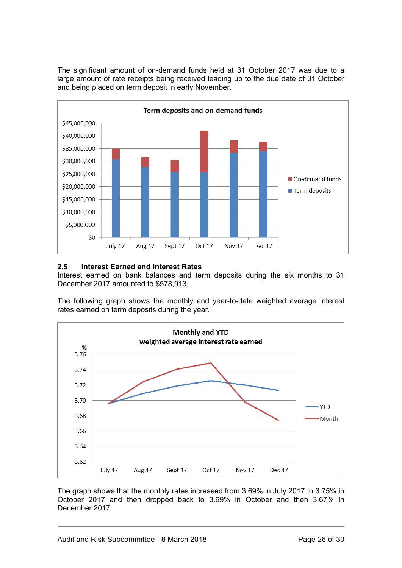The significant amount of on-demand funds held at 31 October 2017 was due to a large amount of rate receipts being received leading up to the due date of 31 October and being placed on term deposit in early November.



## **2.5 Interest Earned and Interest Rates**

Interest earned on bank balances and term deposits during the six months to 31 December 2017 amounted to \$578,913.

The following graph shows the monthly and year-to-date weighted average interest rates earned on term deposits during the year.



The graph shows that the monthly rates increased from 3.69% in July 2017 to 3.75% in October 2017 and then dropped back to 3.69% in October and then 3.67% in December 2017.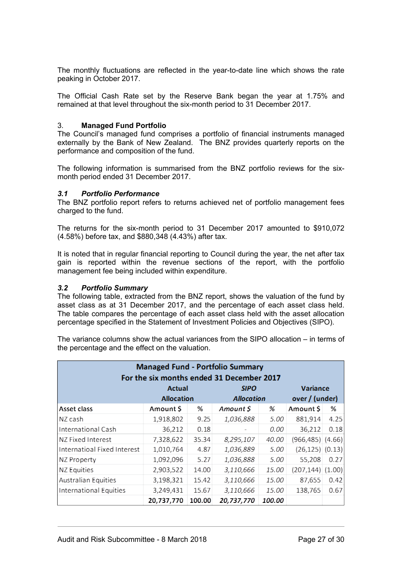The monthly fluctuations are reflected in the year-to-date line which shows the rate peaking in October 2017.

The Official Cash Rate set by the Reserve Bank began the year at 1.75% and remained at that level throughout the six-month period to 31 December 2017.

## 3. **Managed Fund Portfolio**

The Council's managed fund comprises a portfolio of financial instruments managed externally by the Bank of New Zealand. The BNZ provides quarterly reports on the performance and composition of the fund.

The following information is summarised from the BNZ portfolio reviews for the sixmonth period ended 31 December 2017.

## *3.1 Portfolio Performance*

The BNZ portfolio report refers to returns achieved net of portfolio management fees charged to the fund.

The returns for the six-month period to 31 December 2017 amounted to \$910,072 (4.58%) before tax, and \$880,348 (4.43%) after tax.

It is noted that in regular financial reporting to Council during the year, the net after tax gain is reported within the revenue sections of the report, with the portfolio management fee being included within expenditure.

### *3.2 Portfolio Summary*

The following table, extracted from the BNZ report, shows the valuation of the fund by asset class as at 31 December 2017, and the percentage of each asset class held. The table compares the percentage of each asset class held with the asset allocation percentage specified in the Statement of Investment Policies and Objectives (SIPO).

The variance columns show the actual variances from the SIPO allocation – in terms of the percentage and the effect on the valuation.

| <b>Managed Fund - Portfolio Summary</b><br>For the six months ended 31 December 2017 |                   |        |                   |        |                       |      |  |
|--------------------------------------------------------------------------------------|-------------------|--------|-------------------|--------|-----------------------|------|--|
|                                                                                      | Actual            |        | <b>SIPO</b>       |        | <b>Variance</b>       |      |  |
|                                                                                      | <b>Allocation</b> |        | <b>Allocation</b> |        | over / (under)        |      |  |
| Asset class                                                                          | Amount \$         | ℅      | Amount \$         | %      | Amount \$             | ℅    |  |
| NZ cash                                                                              | 1,918,802         | 9.25   | 1,036,888         | 5.00   | 881,914               | 4.25 |  |
| <b>International Cash</b>                                                            | 36,212            | 0.18   |                   | 0.00   | 36,212                | 0.18 |  |
| NZ Fixed Interest                                                                    | 7,328,622         | 35.34  | 8,295,107         | 40.00  | $(966, 485)$ $(4.66)$ |      |  |
| Internatioal Fixed Interest                                                          | 1,010,764         | 4.87   | 1,036,889         | 5.00   | $(26, 125)$ $(0.13)$  |      |  |
| NZ Property                                                                          | 1,092,096         | 5.27   | 1,036,888         | 5.00   | 55,208                | 0.27 |  |
| NZ Equities                                                                          | 2,903,522         | 14.00  | 3,110,666         | 15.00  | $(207, 144)$ $(1.00)$ |      |  |
| Australian Equities                                                                  | 3,198,321         | 15.42  | 3,110,666         | 15.00  | 87,655                | 0.42 |  |
| International Equities                                                               | 3,249,431         | 15.67  | 3,110,666         | 15.00  | 138,765               | 0.67 |  |
|                                                                                      | 20,737,770        | 100.00 | 20,737,770        | 100.00 |                       |      |  |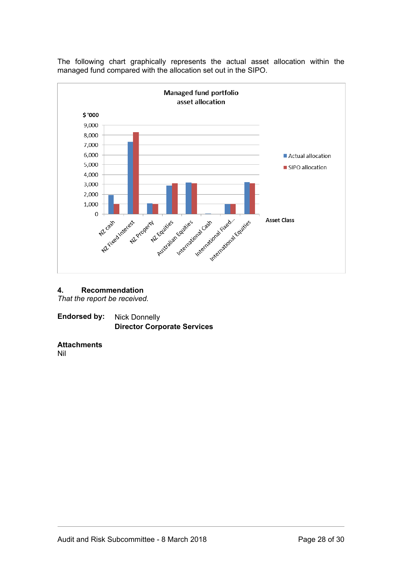The following chart graphically represents the actual asset allocation within the managed fund compared with the allocation set out in the SIPO.



#### **4. Recommendation**

*That the report be received.*

**Endorsed by:** Nick Donnelly **Director Corporate Services**

#### **Attachments**

Nil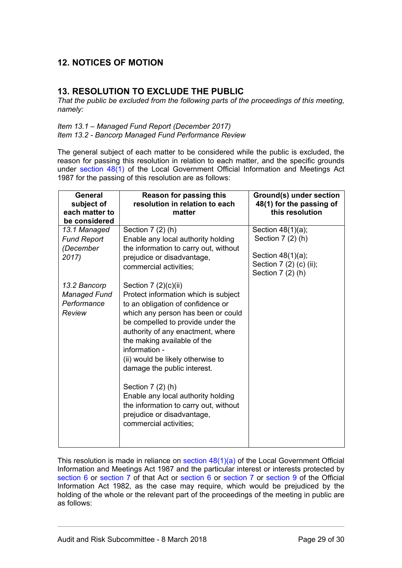# <span id="page-28-0"></span>**12. NOTICES OF MOTION**

# <span id="page-28-1"></span>**13. RESOLUTION TO EXCLUDE THE PUBLIC**

*That the public be excluded from the following parts of the proceedings of this meeting, namely:* 

*Item 13.1 – Managed Fund Report (December 2017) Item 13.2 - Bancorp Managed Fund Performance Review*

The general subject of each matter to be considered while the public is excluded, the reason for passing this resolution in relation to each matter, and the specific grounds under [section 48\(1\)](http://www.legislation.govt.nz/act/public/1987/0174/latest/link.aspx?id=DLM123095#DLM123095) of the Local Government Official Information and Meetings Act 1987 for the passing of this resolution are as follows:

| <b>General</b><br>subject of<br>each matter to<br>be considered | <b>Reason for passing this</b><br>resolution in relation to each<br>matter                                                                                                                                                                                                                                                                                                                                                                                                                          | Ground(s) under section<br>48(1) for the passing of<br>this resolution |
|-----------------------------------------------------------------|-----------------------------------------------------------------------------------------------------------------------------------------------------------------------------------------------------------------------------------------------------------------------------------------------------------------------------------------------------------------------------------------------------------------------------------------------------------------------------------------------------|------------------------------------------------------------------------|
| 13.1 Managed<br><b>Fund Report</b>                              | Section $7(2)$ (h)<br>Enable any local authority holding                                                                                                                                                                                                                                                                                                                                                                                                                                            | Section $48(1)(a)$ ;<br>Section $7(2)$ (h)                             |
| (December<br>2017)                                              | the information to carry out, without<br>prejudice or disadvantage,<br>commercial activities;                                                                                                                                                                                                                                                                                                                                                                                                       | Section 48(1)(a);<br>Section 7 (2) (c) (ii);<br>Section $7(2)$ (h)     |
| 13.2 Bancorp<br>Managed Fund<br>Performance<br>Review           | Section $7(2)(c)(ii)$<br>Protect information which is subject<br>to an obligation of confidence or<br>which any person has been or could<br>be compelled to provide under the<br>authority of any enactment, where<br>the making available of the<br>information -<br>(ii) would be likely otherwise to<br>damage the public interest.<br>Section $7(2)$ (h)<br>Enable any local authority holding<br>the information to carry out, without<br>prejudice or disadvantage,<br>commercial activities; |                                                                        |

This resolution is made in reliance on section  $48(1)(a)$  of the Local Government Official Information and Meetings Act 1987 and the particular interest or interests protected by [section 6](http://www.legislation.govt.nz/act/public/1987/0174/latest/link.aspx?id=DLM122286#DLM122286) or [section 7](http://www.legislation.govt.nz/act/public/1987/0174/latest/link.aspx?id=DLM122287#DLM122287) of that Act or [section 6](http://www.legislation.govt.nz/act/public/1987/0174/latest/link.aspx?id=DLM65366#DLM65366) or [section 7](http://www.legislation.govt.nz/act/public/1987/0174/latest/link.aspx?id=DLM65368#DLM65368) or [section 9](http://www.legislation.govt.nz/act/public/1987/0174/latest/link.aspx?id=DLM65371#DLM65371) of the Official Information Act 1982, as the case may require, which would be prejudiced by the holding of the whole or the relevant part of the proceedings of the meeting in public are as follows: